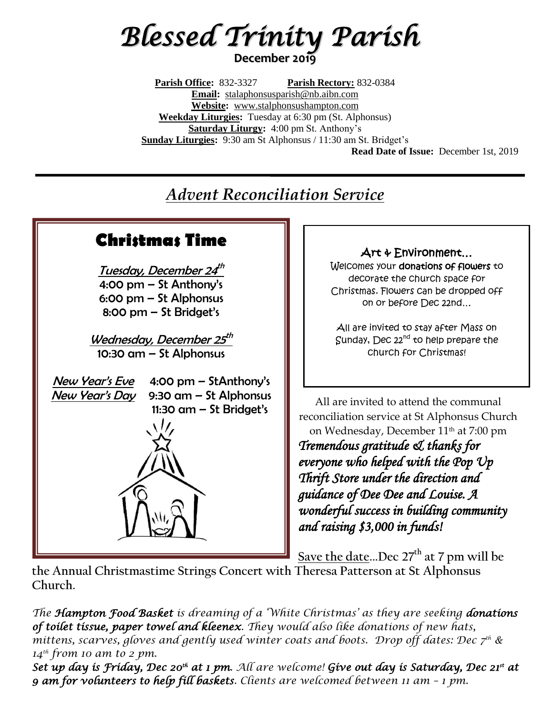# *Blessed Trinity Parish* **December 2019**

**Parish Office:** 832-3327 **Parish Rectory:** 832-0384 **Email:** [stalaphonsusparish@nb.aibn.com](mailto:stalaphonsusparish@nb.aibn.com) **Website:** [www.stalphonsushampton.com](http://www.stalphonsushampton.com/) **Weekday Liturgies:** Tuesday at 6:30 pm (St. Alphonsus) **Saturday Liturgy:** 4:00 pm St. Anthony's **Sunday Liturgies:** 9:30 am St Alphonsus / 11:30 am St. Bridget's **Read Date of Issue:** December 1st, 2019

## *Advent Reconciliation Service*



**the Annual Christmastime Strings Concert with Theresa Patterson at St Alphonsus Church.**

*The Hampton Food Basket is dreaming of a 'White Christmas' as they are seeking donations of toilet tissue, paper towel and kleenex. They would also like donations of new hats, mittens, scarves, gloves and gently used winter coats and boots. Drop off dates: Dec 7th & 14th from 10 am to 2 pm.*

Set up day is Friday, Dec 20<sup>th</sup> at 1 pm. All are welcome! Give out day is Saturday, Dec 21<sup>st</sup> at *9 am for volunteers to help fill baskets. Clients are welcomed between 11 am – 1 pm.*